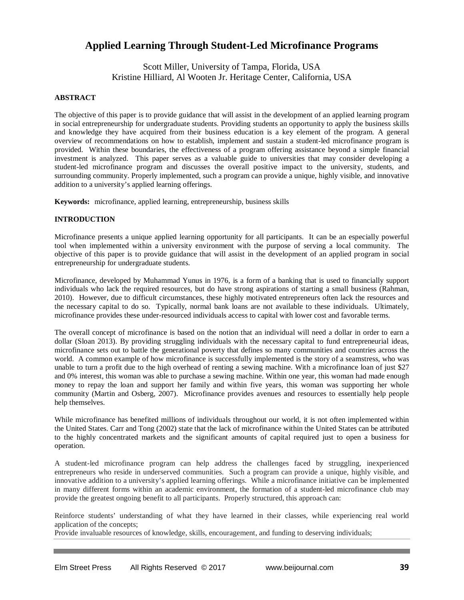# **Applied Learning Through Student-Led Microfinance Programs**

Scott Miller, University of Tampa, Florida, USA Kristine Hilliard, Al Wooten Jr. Heritage Center, California, USA

# **ABSTRACT**

The objective of this paper is to provide guidance that will assist in the development of an applied learning program in social entrepreneurship for undergraduate students. Providing students an opportunity to apply the business skills and knowledge they have acquired from their business education is a key element of the program. A general overview of recommendations on how to establish, implement and sustain a student-led microfinance program is provided. Within these boundaries, the effectiveness of a program offering assistance beyond a simple financial investment is analyzed. This paper serves as a valuable guide to universities that may consider developing a student-led microfinance program and discusses the overall positive impact to the university, students, and surrounding community. Properly implemented, such a program can provide a unique, highly visible, and innovative addition to a university's applied learning offerings.

**Keywords:** microfinance, applied learning, entrepreneurship, business skills

# **INTRODUCTION**

Microfinance presents a unique applied learning opportunity for all participants. It can be an especially powerful tool when implemented within a university environment with the purpose of serving a local community. The objective of this paper is to provide guidance that will assist in the development of an applied program in social entrepreneurship for undergraduate students.

Microfinance, developed by Muhammad Yunus in 1976, is a form of a banking that is used to financially support individuals who lack the required resources, but do have strong aspirations of starting a small business (Rahman, 2010). However, due to difficult circumstances, these highly motivated entrepreneurs often lack the resources and the necessary capital to do so. Typically, normal bank loans are not available to these individuals. Ultimately, microfinance provides these under-resourced individuals access to capital with lower cost and favorable terms.

The overall concept of microfinance is based on the notion that an individual will need a dollar in order to earn a dollar (Sloan 2013). By providing struggling individuals with the necessary capital to fund entrepreneurial ideas, microfinance sets out to battle the generational poverty that defines so many communities and countries across the world. A common example of how microfinance is successfully implemented is the story of a seamstress, who was unable to turn a profit due to the high overhead of renting a sewing machine. With a microfinance loan of just \$27 and 0% interest, this woman was able to purchase a sewing machine. Within one year, this woman had made enough money to repay the loan and support her family and within five years, this woman was supporting her whole community (Martin and Osberg, 2007). Microfinance provides avenues and resources to essentially help people help themselves.

While microfinance has benefited millions of individuals throughout our world, it is not often implemented within the United States. Carr and Tong (2002) state that the lack of microfinance within the United States can be attributed to the highly concentrated markets and the significant amounts of capital required just to open a business for operation.

A student-led microfinance program can help address the challenges faced by struggling, inexperienced entrepreneurs who reside in underserved communities. Such a program can provide a unique, highly visible, and innovative addition to a university's applied learning offerings. While a microfinance initiative can be implemented in many different forms within an academic environment, the formation of a student-led microfinance club may provide the greatest ongoing benefit to all participants. Properly structured, this approach can:

Reinforce students' understanding of what they have learned in their classes, while experiencing real world application of the concepts;

Provide invaluable resources of knowledge, skills, encouragement, and funding to deserving individuals;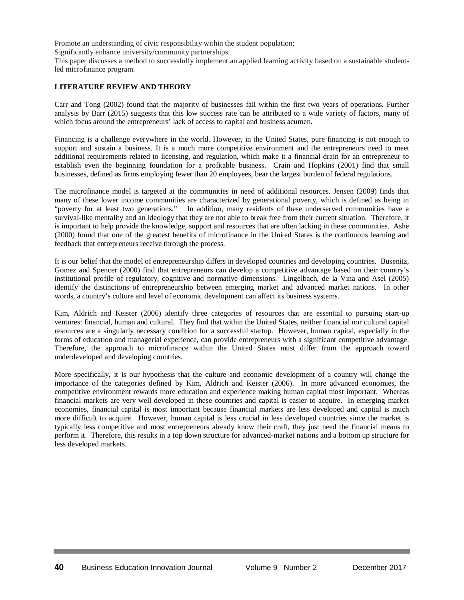Promote an understanding of civic responsibility within the student population;

Significantly enhance university/community partnerships.

This paper discusses a method to successfully implement an applied learning activity based on a sustainable studentled microfinance program.

# **LITERATURE REVIEW AND THEORY**

Carr and Tong (2002) found that the majority of businesses fail within the first two years of operations. Further analysis by Barr (2015) suggests that this low success rate can be attributed to a wide variety of factors, many of which focus around the entrepreneurs' lack of access to capital and business acumen.

Financing is a challenge everywhere in the world. However, in the United States, pure financing is not enough to support and sustain a business. It is a much more competitive environment and the entrepreneurs need to meet additional requirements related to licensing, and regulation, which make it a financial drain for an entrepreneur to establish even the beginning foundation for a profitable business. Crain and Hopkins (2001) find that small businesses, defined as firms employing fewer than 20 employees, bear the largest burden of federal regulations.

The microfinance model is targeted at the communities in need of additional resources. Jensen (2009) finds that many of these lower income communities are characterized by generational poverty, which is defined as being in<br>"poverty for at least two generations." In addition, many residents of these underserved communities have a In addition, many residents of these underserved communities have a survival-like mentality and an ideology that they are not able to break free from their current situation. Therefore, it is important to help provide the knowledge, support and resources that are often lacking in these communities. Ashe (2000) found that one of the greatest benefits of microfinance in the United States is the continuous learning and feedback that entrepreneurs receive through the process.

It is our belief that the model of entrepreneurship differs in developed countries and developing countries. Busenitz, Gomez and Spencer (2000) find that entrepreneurs can develop a competitive advantage based on their country's institutional profile of regulatory, cognitive and normative dimensions. Lingelbach, de la Vina and Asel (2005) identify the distinctions of entrepreneurship between emerging market and advanced market nations. In other words, a country's culture and level of economic development can affect its business systems.

Kim, Aldrich and Keister (2006) identify three categories of resources that are essential to pursuing start-up ventures: financial, human and cultural. They find that within the United States, neither financial nor cultural capital resources are a singularly necessary condition for a successful startup. However, human capital, especially in the forms of education and managerial experience, can provide entrepreneurs with a significant competitive advantage. Therefore, the approach to microfinance within the United States must differ from the approach toward underdeveloped and developing countries.

More specifically, it is our hypothesis that the culture and economic development of a country will change the importance of the categories defined by Kim, Aldrich and Keister (2006). In more advanced economies, the competitive environment rewards more education and experience making human capital most important. Whereas financial markets are very well developed in these countries and capital is easier to acquire. In emerging market economies, financial capital is most important because financial markets are less developed and capital is much more difficult to acquire. However, human capital is less crucial in less developed countries since the market is typically less competitive and most entrepreneurs already know their craft, they just need the financial means to perform it. Therefore, this results in a top down structure for advanced-market nations and a bottom up structure for less developed markets.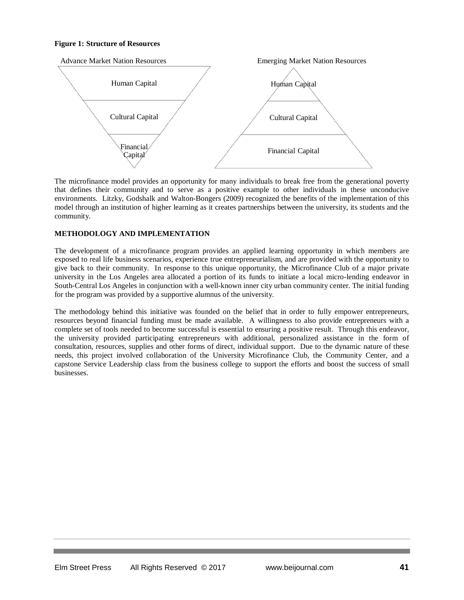### **Figure 1: Structure of Resources**



The microfinance model provides an opportunity for many individuals to break free from the generational poverty that defines their community and to serve as a positive example to other individuals in these unconducive environments. Litzky, Godshalk and Walton-Bongers (2009) recognized the benefits of the implementation of this model through an institution of higher learning as it creates partnerships between the university, its students and the community.

# **METHODOLOGY AND IMPLEMENTATION**

The development of a microfinance program provides an applied learning opportunity in which members are exposed to real life business scenarios, experience true entrepreneurialism, and are provided with the opportunity to give back to their community. In response to this unique opportunity, the Microfinance Club of a major private university in the Los Angeles area allocated a portion of its funds to initiate a local micro-lending endeavor in South-Central Los Angeles in conjunction with a well-known inner city urban community center. The initial funding for the program was provided by a supportive alumnus of the university.

The methodology behind this initiative was founded on the belief that in order to fully empower entrepreneurs, resources beyond financial funding must be made available. A willingness to also provide entrepreneurs with a complete set of tools needed to become successful is essential to ensuring a positive result. Through this endeavor, the university provided participating entrepreneurs with additional, personalized assistance in the form of consultation, resources, supplies and other forms of direct, individual support. Due to the dynamic nature of these needs, this project involved collaboration of the University Microfinance Club, the Community Center, and a capstone Service Leadership class from the business college to support the efforts and boost the success of small businesses.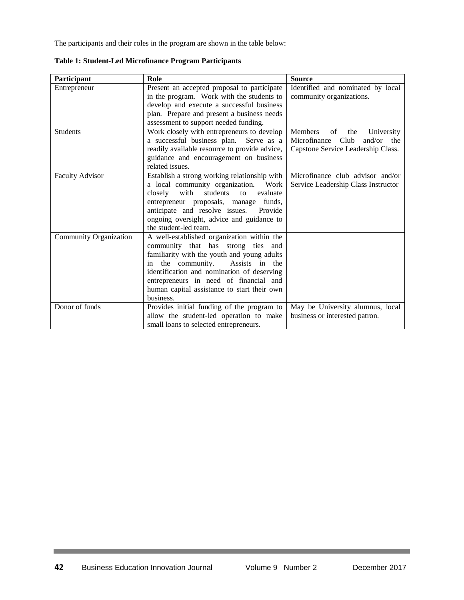The participants and their roles in the program are shown in the table below:

| Participant                   | Role                                                                           | <b>Source</b>                       |  |
|-------------------------------|--------------------------------------------------------------------------------|-------------------------------------|--|
| Entrepreneur                  | Present an accepted proposal to participate                                    | Identified and nominated by local   |  |
|                               | in the program. Work with the students to                                      | community organizations.            |  |
|                               | develop and execute a successful business                                      |                                     |  |
|                               | plan. Prepare and present a business needs                                     |                                     |  |
|                               | assessment to support needed funding.                                          |                                     |  |
| <b>Students</b>               | Work closely with entrepreneurs to develop                                     | Members<br>of<br>the<br>University  |  |
|                               | a successful business plan. Serve as a                                         | Microfinance Club<br>and/or<br>the  |  |
|                               | readily available resource to provide advice,                                  | Capstone Service Leadership Class.  |  |
|                               | guidance and encouragement on business                                         |                                     |  |
|                               | related issues.                                                                |                                     |  |
| Faculty Advisor               | Establish a strong working relationship with                                   | Microfinance club advisor and/or    |  |
|                               | a local community organization. Work                                           | Service Leadership Class Instructor |  |
|                               | with<br>students<br>evaluate<br>closely<br>to                                  |                                     |  |
|                               | entrepreneur proposals, manage<br>funds.                                       |                                     |  |
|                               | anticipate and resolve issues.<br>Provide                                      |                                     |  |
|                               | ongoing oversight, advice and guidance to                                      |                                     |  |
|                               | the student-led team.                                                          |                                     |  |
| <b>Community Organization</b> | A well-established organization within the                                     |                                     |  |
|                               | community that has strong ties<br>and                                          |                                     |  |
|                               | familiarity with the youth and young adults                                    |                                     |  |
|                               | the community.<br>Assists in the<br>in                                         |                                     |  |
|                               | identification and nomination of deserving                                     |                                     |  |
|                               | entrepreneurs in need of financial and                                         |                                     |  |
|                               | human capital assistance to start their own                                    |                                     |  |
|                               | business.                                                                      |                                     |  |
| Donor of funds                | Provides initial funding of the program to<br>May be University alumnus, local |                                     |  |
|                               | allow the student-led operation to make                                        | business or interested patron.      |  |
|                               | small loans to selected entrepreneurs.                                         |                                     |  |

**Table 1: Student-Led Microfinance Program Participants**

<u> 1989 - Johann Barnett, mars et al. 1989 - </u>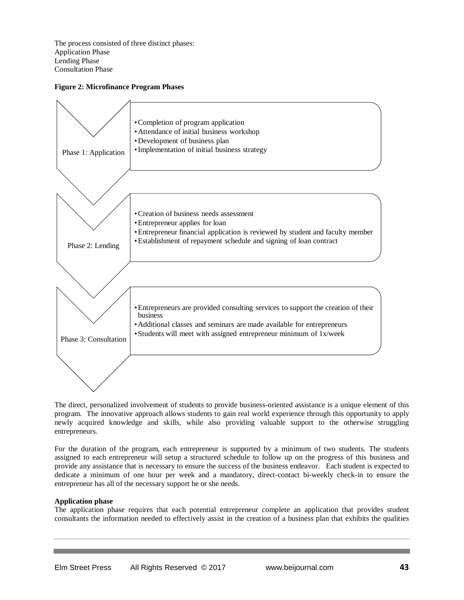The process consisted of three distinct phases: Application Phase Lending Phase Consultation Phase

# **Figure 2: Microfinance Program Phases**



The direct, personalized involvement of students to provide business-oriented assistance is a unique element of this program. The innovative approach allows students to gain real world experience through this opportunity to apply newly acquired knowledge and skills, while also providing valuable support to the otherwise struggling entrepreneurs.

For the duration of the program, each entrepreneur is supported by a minimum of two students. The students assigned to each entrepreneur will setup a structured schedule to follow up on the progress of this business and provide any assistance that is necessary to ensure the success of the business endeavor. Each student is expected to dedicate a minimum of one hour per week and a mandatory, direct-contact bi-weekly check-in to ensure the entrepreneur has all of the necessary support he or she needs.

# **Application phase**

The application phase requires that each potential entrepreneur complete an application that provides student consultants the information needed to effectively assist in the creation of a business plan that exhibits the qualities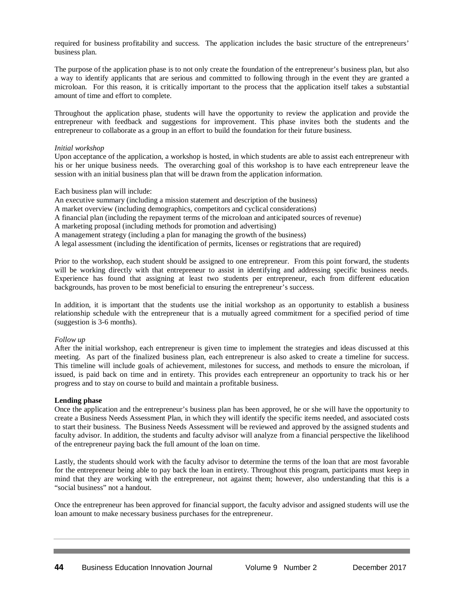required for business profitability and success. The application includes the basic structure of the entrepreneurs' business plan.

The purpose of the application phase is to not only create the foundation of the entrepreneur's business plan, but also a way to identify applicants that are serious and committed to following through in the event they are granted a microloan. For this reason, it is critically important to the process that the application itself takes a substantial amount of time and effort to complete.

Throughout the application phase, students will have the opportunity to review the application and provide the entrepreneur with feedback and suggestions for improvement. This phase invites both the students and the entrepreneur to collaborate as a group in an effort to build the foundation for their future business.

## *Initial workshop*

Upon acceptance of the application, a workshop is hosted, in which students are able to assist each entrepreneur with his or her unique business needs. The overarching goal of this workshop is to have each entrepreneur leave the session with an initial business plan that will be drawn from the application information.

Each business plan will include:

An executive summary (including a mission statement and description of the business)

- A market overview (including demographics, competitors and cyclical considerations)
- A financial plan (including the repayment terms of the microloan and anticipated sources of revenue)
- A marketing proposal (including methods for promotion and advertising)
- A management strategy (including a plan for managing the growth of the business)
- A legal assessment (including the identification of permits, licenses or registrations that are required)

Prior to the workshop, each student should be assigned to one entrepreneur. From this point forward, the students will be working directly with that entrepreneur to assist in identifying and addressing specific business needs. Experience has found that assigning at least two students per entrepreneur, each from different education backgrounds, has proven to be most beneficial to ensuring the entrepreneur's success.

In addition, it is important that the students use the initial workshop as an opportunity to establish a business relationship schedule with the entrepreneur that is a mutually agreed commitment for a specified period of time (suggestion is 3-6 months).

#### *Follow up*

After the initial workshop, each entrepreneur is given time to implement the strategies and ideas discussed at this meeting. As part of the finalized business plan, each entrepreneur is also asked to create a timeline for success. This timeline will include goals of achievement, milestones for success, and methods to ensure the microloan, if issued, is paid back on time and in entirety. This provides each entrepreneur an opportunity to track his or her progress and to stay on course to build and maintain a profitable business.

#### **Lending phase**

Once the application and the entrepreneur's business plan has been approved, he or she will have the opportunity to create a Business Needs Assessment Plan, in which they will identify the specific items needed, and associated costs to start their business. The Business Needs Assessment will be reviewed and approved by the assigned students and faculty advisor. In addition, the students and faculty advisor will analyze from a financial perspective the likelihood of the entrepreneur paying back the full amount of the loan on time.

Lastly, the students should work with the faculty advisor to determine the terms of the loan that are most favorable for the entrepreneur being able to pay back the loan in entirety. Throughout this program, participants must keep in mind that they are working with the entrepreneur, not against them; however, also understanding that this is a "social business" not a handout.

Once the entrepreneur has been approved for financial support, the faculty advisor and assigned students will use the loan amount to make necessary business purchases for the entrepreneur.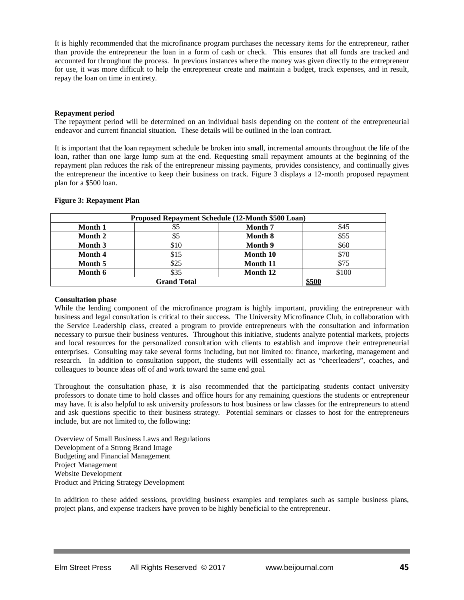It is highly recommended that the microfinance program purchases the necessary items for the entrepreneur, rather than provide the entrepreneur the loan in a form of cash or check. This ensures that all funds are tracked and accounted for throughout the process. In previous instances where the money was given directly to the entrepreneur for use, it was more difficult to help the entrepreneur create and maintain a budget, track expenses, and in result, repay the loan on time in entirety.

#### **Repayment period**

The repayment period will be determined on an individual basis depending on the content of the entrepreneurial endeavor and current financial situation. These details will be outlined in the loan contract.

It is important that the loan repayment schedule be broken into small, incremental amounts throughout the life of the loan, rather than one large lump sum at the end. Requesting small repayment amounts at the beginning of the repayment plan reduces the risk of the entrepreneur missing payments, provides consistency, and continually gives the entrepreneur the incentive to keep their business on track. Figure 3 displays a 12-month proposed repayment plan for a \$500 loan.

| Proposed Repayment Schedule (12-Month \$500 Loan) |      |          |       |
|---------------------------------------------------|------|----------|-------|
| <b>Month 1</b>                                    | \$5  | Month 7  | \$45  |
| Month 2                                           | \$5  | Month 8  | \$55  |
| Month 3                                           | \$10 | Month 9  | \$60  |
| Month 4                                           | \$15 | Month 10 | \$70  |
| Month 5                                           | \$25 | Month 11 | \$75  |
| Month 6                                           | \$35 | Month 12 | \$100 |
| <b>Grand Total</b>                                |      |          | \$500 |

### **Figure 3: Repayment Plan**

## **Consultation phase**

While the lending component of the microfinance program is highly important, providing the entrepreneur with business and legal consultation is critical to their success. The University Microfinance Club, in collaboration with the Service Leadership class, created a program to provide entrepreneurs with the consultation and information necessary to pursue their business ventures. Throughout this initiative, students analyze potential markets, projects and local resources for the personalized consultation with clients to establish and improve their entrepreneurial enterprises. Consulting may take several forms including, but not limited to: finance, marketing, management and research. In addition to consultation support, the students will essentially act as "cheerleaders", coaches, and colleagues to bounce ideas off of and work toward the same end goal.

Throughout the consultation phase, it is also recommended that the participating students contact university professors to donate time to hold classes and office hours for any remaining questions the students or entrepreneur may have. It is also helpful to ask university professors to host business or law classes for the entrepreneurs to attend and ask questions specific to their business strategy. Potential seminars or classes to host for the entrepreneurs include, but are not limited to, the following:

Overview of Small Business Laws and Regulations Development of a Strong Brand Image Budgeting and Financial Management Project Management Website Development Product and Pricing Strategy Development

In addition to these added sessions, providing business examples and templates such as sample business plans, project plans, and expense trackers have proven to be highly beneficial to the entrepreneur.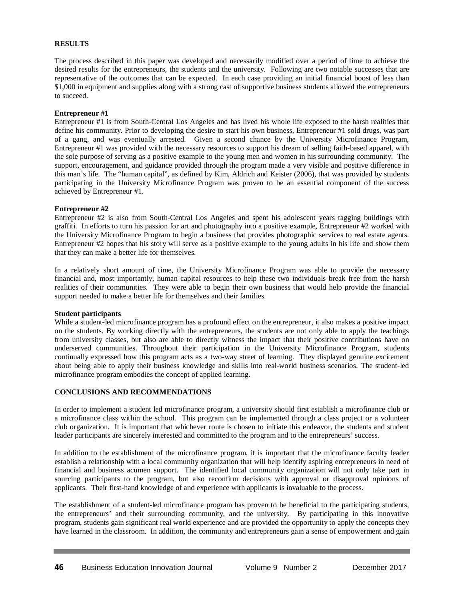## **RESULTS**

The process described in this paper was developed and necessarily modified over a period of time to achieve the desired results for the entrepreneurs, the students and the university. Following are two notable successes that are representative of the outcomes that can be expected. In each case providing an initial financial boost of less than \$1,000 in equipment and supplies along with a strong cast of supportive business students allowed the entrepreneurs to succeed.

#### **Entrepreneur #1**

Entrepreneur #1 is from South-Central Los Angeles and has lived his whole life exposed to the harsh realities that define his community. Prior to developing the desire to start his own business, Entrepreneur #1 sold drugs, was part of a gang, and was eventually arrested. Given a second chance by the University Microfinance Program, Entrepreneur #1 was provided with the necessary resources to support his dream of selling faith-based apparel, with the sole purpose of serving as a positive example to the young men and women in his surrounding community. The support, encouragement, and guidance provided through the program made a very visible and positive difference in this man's life. The "human capital", as defined by Kim, Aldrich and Keister (2006), that was provided by students participating in the University Microfinance Program was proven to be an essential component of the success achieved by Entrepreneur #1.

#### **Entrepreneur #2**

Entrepreneur #2 is also from South-Central Los Angeles and spent his adolescent years tagging buildings with graffiti. In efforts to turn his passion for art and photography into a positive example, Entrepreneur #2 worked with the University Microfinance Program to begin a business that provides photographic services to real estate agents. Entrepreneur #2 hopes that his story will serve as a positive example to the young adults in his life and show them that they can make a better life for themselves.

In a relatively short amount of time, the University Microfinance Program was able to provide the necessary financial and, most importantly, human capital resources to help these two individuals break free from the harsh realities of their communities. They were able to begin their own business that would help provide the financial support needed to make a better life for themselves and their families.

#### **Student participants**

While a student-led microfinance program has a profound effect on the entrepreneur, it also makes a positive impact on the students. By working directly with the entrepreneurs, the students are not only able to apply the teachings from university classes, but also are able to directly witness the impact that their positive contributions have on underserved communities. Throughout their participation in the University Microfinance Program, students continually expressed how this program acts as a two-way street of learning. They displayed genuine excitement about being able to apply their business knowledge and skills into real-world business scenarios. The student-led microfinance program embodies the concept of applied learning.

## **CONCLUSIONS AND RECOMMENDATIONS**

In order to implement a student led microfinance program, a university should first establish a microfinance club or a microfinance class within the school. This program can be implemented through a class project or a volunteer club organization. It is important that whichever route is chosen to initiate this endeavor, the students and student leader participants are sincerely interested and committed to the program and to the entrepreneurs' success.

In addition to the establishment of the microfinance program, it is important that the microfinance faculty leader establish a relationship with a local community organization that will help identify aspiring entrepreneurs in need of financial and business acumen support. The identified local community organization will not only take part in sourcing participants to the program, but also reconfirm decisions with approval or disapproval opinions of applicants. Their first-hand knowledge of and experience with applicants is invaluable to the process.

The establishment of a student-led microfinance program has proven to be beneficial to the participating students, the entrepreneurs' and their surrounding community, and the university. By participating in this innovative program, students gain significant real world experience and are provided the opportunity to apply the concepts they have learned in the classroom. In addition, the community and entrepreneurs gain a sense of empowerment and gain